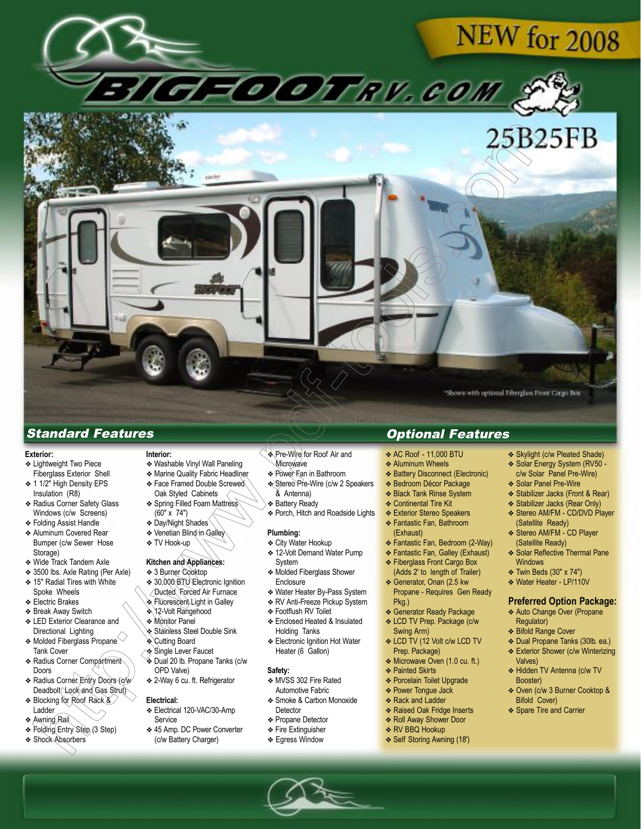



# Standard Features Optional Features

### **Exterior:**

- ❖ Lightweight Two Piece Fiberglass Exterior Shell
- ❖ 1 1/2" High Density EPS Insulation (R8)
- ❖ Radius Corner Safety Glass Windows (c/w Screens)
- ❖ Folding Assist Handle
- ❖ Aluminum Covered Rear Bumper (c/w Sewer Hose Storage)
- ❖ Wide Track Tandem Axle
- ❖ 3500 lbs. Axle Rating (Per Axle)
- ❖ 15" Radial Tires with White
- Spoke Wheels
- ❖ Electric Brakes
- ❖ Break Away Switch
- ❖ LED Exterior Clearance and Directional Lighting
- $\bullet$  Molded Fiberglass Propane Tank Cover ❖ Radius Corner Compartment
- Doors ❖ Radius Corner Entry Doors (c/w
- Deadbolt/Lock and Gas Strut) ❖ Blocking for Roof Rack &
- Ladder
- ❖ Awning Rail
- ❖ Folding Entry Step (3 Step)
- ❖ Shock Absorbers

## **Interior:**

- ❖ Washable Vinyl Wall Paneling
- ❖ Marine Quality Fabric Headliner
- ❖ Face Framed Double Screwed Oak Styled Cabinets ❖ Spring Filled Foam Mattress
- (60" x 74")
- ❖ Day/Night Shades
- ❖ Venetian Blind in Galley
- ❖ TV Hook-up

# **Kitchen and Appliances:**

- ❖ 3 Burner Cooktop
- ◆ 30,000 BTU Electronic Ignition
- Ducted Forced Air Furnace
- ❖ Fluorescent Light in Galley
- ❖ 12-Volt Rangehood
- ❖ Monitor Panel
- ❖ Stainless Steel Double Sink
- ❖ Cutting Board
- ❖ Single Lever Faucet
- ❖ Dual 20 lb. Propane Tanks (c/w OPD Valve)
- ❖ 2-Way 6 cu. ft. Refrigerator

#### **Electrical:**

- ❖ Electrical 120-VAC/30-Amp **Service**
- ❖ 45 Amp. DC Power Converter (c/w Battery Charger)
- ❖ Pre-Wire for Roof Air and **Microwave**
- ❖ Power Fan in Bathroom
- ❖ Stereo Pre-Wire (c/w 2 Speakers & Antenna)
- ❖ Battery Ready
- ❖ Porch, Hitch and Roadside Lights

#### **Plumbing:**

- ❖ City Water Hookup
- ❖ 12-Volt Demand Water Pump System
- ❖ Molded Fiberglass Shower **Enclosure**
- ❖ Water Heater By-Pass System
- ❖ RV Anti-Freeze Pickup System
- ❖ Footflush RV Toilet
- ❖ Enclosed Heated & Insulated Holding Tanks
- ❖ Electronic Ignition Hot Water Heater (6 Gallon)

#### **Safety:**

- ❖ MVSS 302 Fire Rated Automotive Fabric
- ❖ Smoke & Carbon Monoxide **Detector**
- ❖ Propane Detector
- ❖ Fire Extinguisher
- ❖ Egress Window

- ❖ AC Roof 11,000 BTU
- ❖ Aluminum Wheels
- ❖ Battery Disconnect (Electronic)
- ❖ Bedroom Décor Package
- ❖ Black Tank Rinse System
- ❖ Continental Tire Kit
- ❖ Exterior Stereo Speakers ❖ Fantastic Fan, Bathroom (Exhaust)
- ❖ Fantastic Fan, Bedroom (2-Way)
- ❖ Fantastic Fan, Galley (Exhaust)
- ❖ Fiberglass Front Cargo Box (Adds 2' to length of Trailer)
- ❖ Generator, Onan (2.5 kw Propane - Requires Gen Ready Pkg.)
- ❖ Generator Ready Package
- ❖ LCD TV Prep. Package (c/w Swing Arm)
- ❖ LCD TV (12 Volt c/w LCD TV Prep. Package)
- ❖ Microwave Oven (1.0 cu. ft.)
- ❖ Painted Skirts
- ❖ Porcelain Toilet Upgrade
- ❖ Power Tongue Jack ❖ Rack and Ladder
- ❖ Raised Oak Fridge Inserts
- ❖ Roll Away Shower Door
- ❖ RV BBQ Hookup
- ❖ Self Storing Awning (18')
- ❖ Skylight (c/w Pleated Shade)
- ❖ Solar Energy System (RV50 c/w Solar Panel Pre-Wire)
- ❖ Solar Panel Pre-Wire
- 
- ❖ Stabilizer Jacks (Front & Rear) ❖ Stabilizer Jacks (Rear Only)
- ❖ Stereo AM/FM CD/DVD Player (Satellite Ready)
- ❖ Stereo AM/FM CD Player (Satellite Ready)
- ❖ Solar Reflective Thermal Pane **Windows**
- ❖ Twin Beds (30" x 74")

Regulator) ❖ Bifold Range Cover ❖ Dual Propane Tanks (30lb. ea.) ❖ Exterior Shower (c/w Winterizing

Valves)

Booster)

Bifold Cover) ❖ Spare Tire and Carrier

❖ Water Heater - LP/110V

#### **Preferred Option Package:** ❖ Auto Change Over (Propane

❖ Hidden TV Antenna (c/w TV

❖ Oven (c/w 3 Burner Cooktop &